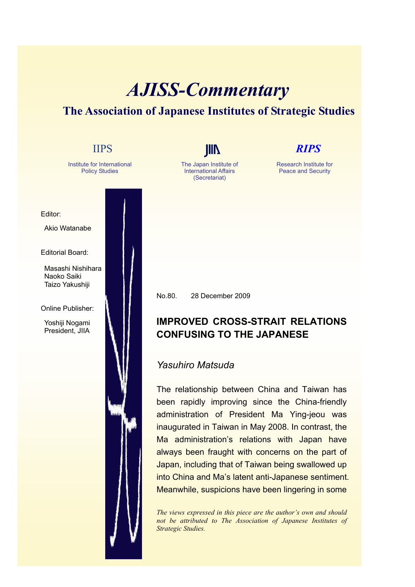## *AJISS-Commentary*

## **The Association of Japanese Institutes of Strategic Studies**

| <b>IIPS</b>                                                                                                                                                                                                              | <b>RIPS</b>                                                                                                                                                                                                                                                                                                                                                                                                                                                                                                                                                                                                                                                                                                             |
|--------------------------------------------------------------------------------------------------------------------------------------------------------------------------------------------------------------------------|-------------------------------------------------------------------------------------------------------------------------------------------------------------------------------------------------------------------------------------------------------------------------------------------------------------------------------------------------------------------------------------------------------------------------------------------------------------------------------------------------------------------------------------------------------------------------------------------------------------------------------------------------------------------------------------------------------------------------|
| Institute for International<br>The Japan Institute of<br><b>International Affairs</b><br><b>Policy Studies</b><br>(Secretariat)                                                                                          | Research Institute for<br><b>Peace and Security</b>                                                                                                                                                                                                                                                                                                                                                                                                                                                                                                                                                                                                                                                                     |
| Editor:<br>Akio Watanabe<br><b>Editorial Board:</b><br>Masashi Nishihara<br>Naoko Saiki<br>Taizo Yakushiji<br>No.80.<br>Online Publisher:<br>Yoshiji Nogami<br>President, JIIA<br>Yasuhiro Matsuda<br>Strategic Studies. | 28 December 2009<br><b>IMPROVED CROSS-STRAIT RELATIONS</b><br><b>CONFUSING TO THE JAPANESE</b><br>The relationship between China and Taiwan has<br>been rapidly improving since the China-friendly<br>administration of President Ma Ying-jeou was<br>inaugurated in Taiwan in May 2008. In contrast, the<br>Ma administration's relations with Japan have<br>always been fraught with concerns on the part of<br>Japan, including that of Taiwan being swallowed up<br>into China and Ma's latent anti-Japanese sentiment.<br>Meanwhile, suspicions have been lingering in some<br>The views expressed in this piece are the author's own and should<br>not be attributed to The Association of Japanese Institutes of |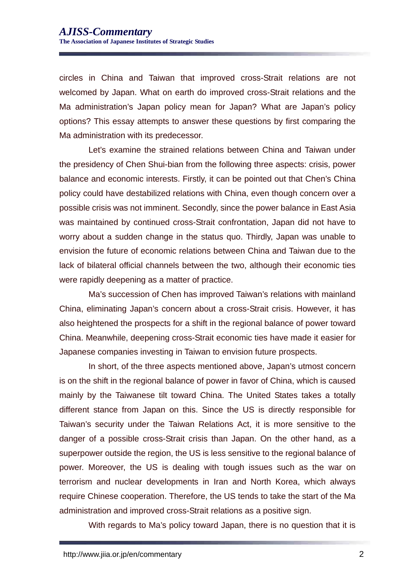circles in China and Taiwan that improved cross-Strait relations are not welcomed by Japan. What on earth do improved cross-Strait relations and the Ma administration's Japan policy mean for Japan? What are Japan's policy options? This essay attempts to answer these questions by first comparing the Ma administration with its predecessor.

Let's examine the strained relations between China and Taiwan under the presidency of Chen Shui-bian from the following three aspects: crisis, power balance and economic interests. Firstly, it can be pointed out that Chen's China policy could have destabilized relations with China, even though concern over a possible crisis was not imminent. Secondly, since the power balance in East Asia was maintained by continued cross-Strait confrontation, Japan did not have to worry about a sudden change in the status quo. Thirdly, Japan was unable to envision the future of economic relations between China and Taiwan due to the lack of bilateral official channels between the two, although their economic ties were rapidly deepening as a matter of practice.

Ma's succession of Chen has improved Taiwan's relations with mainland China, eliminating Japan's concern about a cross-Strait crisis. However, it has also heightened the prospects for a shift in the regional balance of power toward China. Meanwhile, deepening cross-Strait economic ties have made it easier for Japanese companies investing in Taiwan to envision future prospects.

In short, of the three aspects mentioned above, Japan's utmost concern is on the shift in the regional balance of power in favor of China, which is caused mainly by the Taiwanese tilt toward China. The United States takes a totally different stance from Japan on this. Since the US is directly responsible for Taiwan's security under the Taiwan Relations Act, it is more sensitive to the danger of a possible cross-Strait crisis than Japan. On the other hand, as a superpower outside the region, the US is less sensitive to the regional balance of power. Moreover, the US is dealing with tough issues such as the war on terrorism and nuclear developments in Iran and North Korea, which always require Chinese cooperation. Therefore, the US tends to take the start of the Ma administration and improved cross-Strait relations as a positive sign.

With regards to Ma's policy toward Japan, there is no question that it is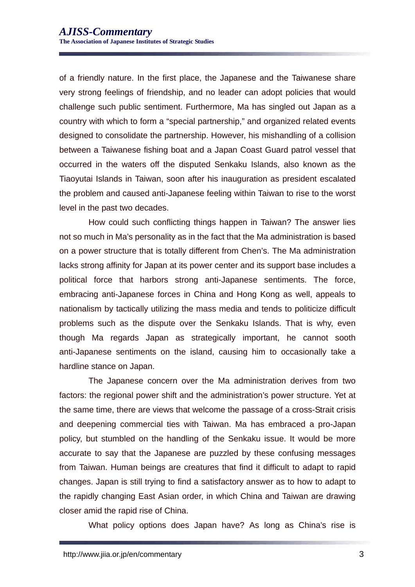of a friendly nature. In the first place, the Japanese and the Taiwanese share very strong feelings of friendship, and no leader can adopt policies that would challenge such public sentiment. Furthermore, Ma has singled out Japan as a country with which to form a "special partnership," and organized related events designed to consolidate the partnership. However, his mishandling of a collision between a Taiwanese fishing boat and a Japan Coast Guard patrol vessel that occurred in the waters off the disputed Senkaku Islands, also known as the Tiaoyutai Islands in Taiwan, soon after his inauguration as president escalated the problem and caused anti-Japanese feeling within Taiwan to rise to the worst level in the past two decades.

How could such conflicting things happen in Taiwan? The answer lies not so much in Ma's personality as in the fact that the Ma administration is based on a power structure that is totally different from Chen's. The Ma administration lacks strong affinity for Japan at its power center and its support base includes a political force that harbors strong anti-Japanese sentiments. The force, embracing anti-Japanese forces in China and Hong Kong as well, appeals to nationalism by tactically utilizing the mass media and tends to politicize difficult problems such as the dispute over the Senkaku Islands. That is why, even though Ma regards Japan as strategically important, he cannot sooth anti-Japanese sentiments on the island, causing him to occasionally take a hardline stance on Japan.

The Japanese concern over the Ma administration derives from two factors: the regional power shift and the administration's power structure. Yet at the same time, there are views that welcome the passage of a cross-Strait crisis and deepening commercial ties with Taiwan. Ma has embraced a pro-Japan policy, but stumbled on the handling of the Senkaku issue. It would be more accurate to say that the Japanese are puzzled by these confusing messages from Taiwan. Human beings are creatures that find it difficult to adapt to rapid changes. Japan is still trying to find a satisfactory answer as to how to adapt to the rapidly changing East Asian order, in which China and Taiwan are drawing closer amid the rapid rise of China.

What policy options does Japan have? As long as China's rise is